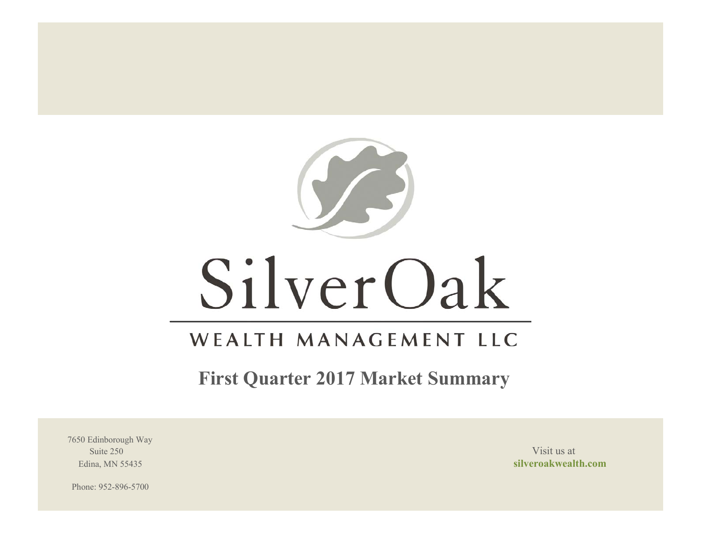

# SilverOak

## WEALTH MANAGEMENT LLC

**First Quarter 2017 Market Summary**

7650 Edinborough Way Suite 250 Visit us at the set of the set of the set of the set of the set of the set of the set of the set of the set of the set of the set of the set of the set of the set of the set of the set of the set of the set of th

Edina, MN 55435 **silveroakwealth.com**

Phone: 952-896-5700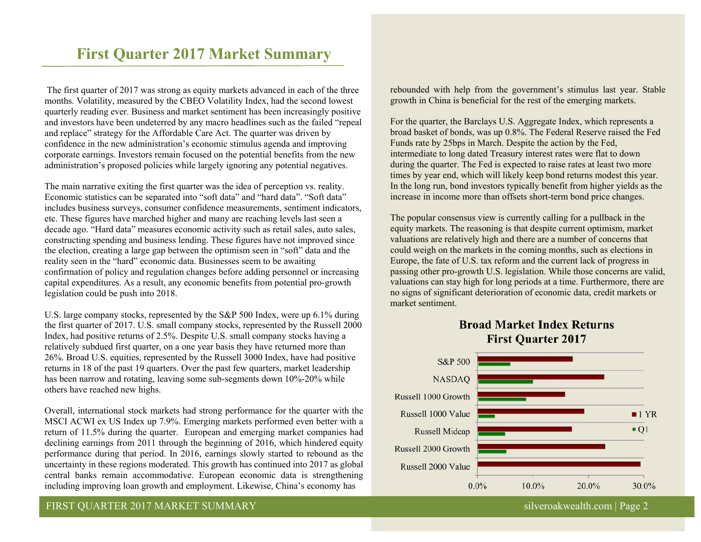### **First Quarter 2017 Market Summary**

 The first quarter of 2017 was strong as equity markets advanced in each of the three months. Volatility, measured by the CBEO Volatility Index, had the second lowest quarterly reading ever. Business and market sentiment has been increasingly positive and investors have been undeterred by any macro headlines such as the failed "repeal and replace" strategy for the Affordable Care Act. The quarter was driven by confidence in the new administration's economic stimulus agenda and improving corporate earnings. Investors remain focused on the potential benefits from the new administration's proposed policies while largely ignoring any potential negatives.

The main narrative exiting the first quarter was the idea of perception vs. reality. Economic statistics can be separated into "soft data" and "hard data". "Soft data" includes business surveys, consumer confidence measurements, sentiment indicators, etc. These figures have marched higher and many are reaching levels last seen a decade ago. "Hard data" measures economic activity such as retail sales, auto sales, constructing spending and business lending. These figures have not improved since the election, creating a large gap between the optimism seen in "soft" data and the reality seen in the "hard" economic data. Businesses seem to be awaiting confirmation of policy and regulation changes before adding personnel or increasing capital expenditures. As a result, any economic benefits from potential pro-growth legislation could be push into 2018.

U.S. large company stocks, represented by the S&P 500 Index, were up 6.1% during the first quarter of 2017. U.S. small company stocks, represented by the Russell 2000 Index, had positive returns of 2.5%. Despite U.S. small company stocks having a relatively subdued first quarter, on a one year basis they have returned more than 26%. Broad U.S. equities, represented by the Russell 3000 Index, have had positive returns in 18 of the past 19 quarters. Over the past few quarters, market leadership has been narrow and rotating, leaving some sub-segments down 10%-20% while others have reached new highs.

Overall, international stock markets had strong performance for the quarter with the MSCI ACWI ex US Index up 7.9%. Emerging markets performed even better with a return of 11.5% during the quarter. European and emerging market companies had declining earnings from 2011 through the beginning of 2016, which hindered equity performance during that period. In 2016, earnings slowly started to rebound as the uncertainty in these regions moderated. This growth has continued into 2017 as global central banks remain accommodative. European economic data is strengthening including improving loan growth and employment. Likewise, China's economy has

rebounded with help from the government's stimulus last year. Stable growth in China is beneficial for the rest of the emerging markets.

For the quarter, the Barclays U.S. Aggregate Index, which represents a broad basket of bonds, was up 0.8%. The Federal Reserve raised the Fed Funds rate by 25bps in March. Despite the action by the Fed, intermediate to long dated Treasury interest rates were flat to down during the quarter. The Fed is expected to raise rates at least two more times by year end, which will likely keep bond returns modest this year. In the long run, bond investors typically benefit from higher yields as the increase in income more than offsets short-term bond price changes.

The popular consensus view is currently calling for a pullback in the equity markets. The reasoning is that despite current optimism, market valuations are relatively high and there are a number of concerns that could weigh on the markets in the coming months, such as elections in Europe, the fate of U.S. tax reform and the current lack of progress in passing other pro-growth U.S. legislation. While those concerns are valid, valuations can stay high for long periods at a time. Furthermore, there are no signs of significant deterioration of economic data, credit markets or market sentiment.



#### **Broad Market Index Returns First Quarter 2017**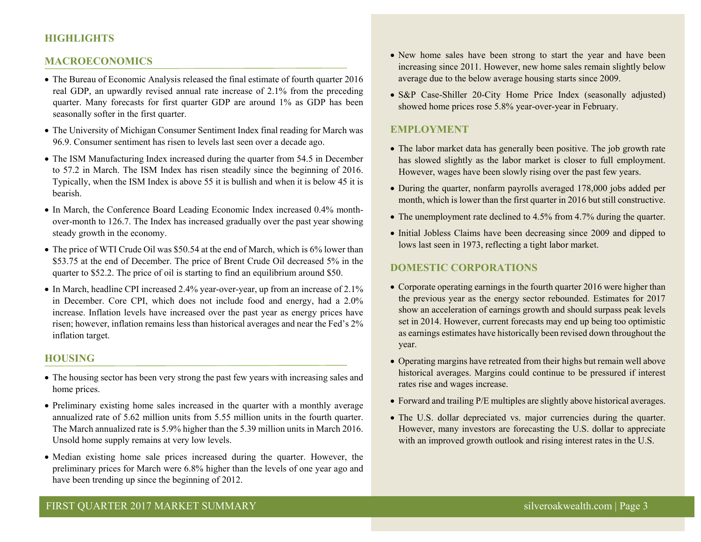#### **HIGHLIGHTS**

#### **MACROECONOMICS**

- The Bureau of Economic Analysis released the final estimate of fourth quarter 2016 real GDP, an upwardly revised annual rate increase of 2.1% from the preceding quarter. Many forecasts for first quarter GDP are around 1% as GDP has been seasonally softer in the first quarter.
- The University of Michigan Consumer Sentiment Index final reading for March was 96.9. Consumer sentiment has risen to levels last seen over a decade ago.
- The ISM Manufacturing Index increased during the quarter from 54.5 in December to 57.2 in March. The ISM Index has risen steadily since the beginning of 2016. Typically, when the ISM Index is above 55 it is bullish and when it is below 45 it is bearish.
- In March, the Conference Board Leading Economic Index increased 0.4% monthover-month to 126.7. The Index has increased gradually over the past year showing steady growth in the economy.
- The price of WTI Crude Oil was \$50.54 at the end of March, which is 6% lower than \$53.75 at the end of December. The price of Brent Crude Oil decreased 5% in the quarter to \$52.2. The price of oil is starting to find an equilibrium around \$50.
- In March, headline CPI increased 2.4% year-over-year, up from an increase of 2.1% in December. Core CPI, which does not include food and energy, had a 2.0% increase. Inflation levels have increased over the past year as energy prices have risen; however, inflation remains less than historical averages and near the Fed's 2% inflation target.

#### **HOUSING**

- The housing sector has been very strong the past few years with increasing sales and home prices.
- Preliminary existing home sales increased in the quarter with a monthly average annualized rate of 5.62 million units from 5.55 million units in the fourth quarter. The March annualized rate is 5.9% higher than the 5.39 million units in March 2016. Unsold home supply remains at very low levels.
- Median existing home sale prices increased during the quarter. However, the preliminary prices for March were 6.8% higher than the levels of one year ago and have been trending up since the beginning of 2012.
- New home sales have been strong to start the year and have been increasing since 2011. However, new home sales remain slightly below average due to the below average housing starts since 2009.
- S&P Case-Shiller 20-City Home Price Index (seasonally adjusted) showed home prices rose 5.8% year-over-year in February.

#### **EMPLOYMENT**

- The labor market data has generally been positive. The job growth rate has slowed slightly as the labor market is closer to full employment. However, wages have been slowly rising over the past few years.
- During the quarter, nonfarm payrolls averaged 178,000 jobs added per month, which is lower than the first quarter in 2016 but still constructive.
- The unemployment rate declined to 4.5% from 4.7% during the quarter.
- Initial Jobless Claims have been decreasing since 2009 and dipped to lows last seen in 1973, reflecting a tight labor market.

#### **DOMESTIC CORPORATIONS**

- Corporate operating earnings in the fourth quarter 2016 were higher than the previous year as the energy sector rebounded. Estimates for 2017 show an acceleration of earnings growth and should surpass peak levels set in 2014. However, current forecasts may end up being too optimistic as earnings estimates have historically been revised down throughout the year.
- Operating margins have retreated from their highs but remain well above historical averages. Margins could continue to be pressured if interest rates rise and wages increase.
- Forward and trailing P/E multiples are slightly above historical averages.
- The U.S. dollar depreciated vs. major currencies during the quarter. However, many investors are forecasting the U.S. dollar to appreciate with an improved growth outlook and rising interest rates in the U.S.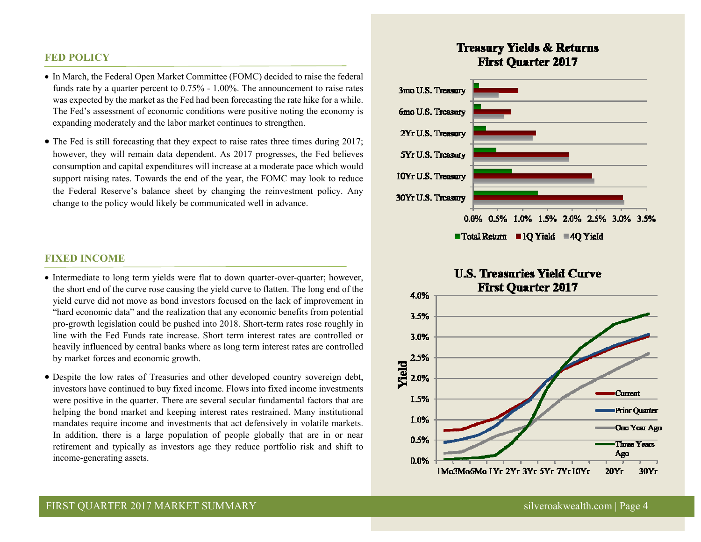#### **FED POLICY**

- In March, the Federal Open Market Committee (FOMC) decided to raise the federal funds rate by a quarter percent to 0.75% - 1.00%. The announcement to raise rates was expected by the market as the Fed had been forecasting the rate hike for a while. The Fed's assessment of economic conditions were positive noting the economy is expanding moderately and the labor market continues to strengthen.
- The Fed is still forecasting that they expect to raise rates three times during 2017; however, they will remain data dependent. As 2017 progresses, the Fed believes consumption and capital expenditures will increase at a moderate pace which would support raising rates. Towards the end of the year, the FOMC may look to reduce the Federal Reserve's balance sheet by changing the reinvestment policy. Any change to the policy would likely be communicated well in advance.

#### **FIXED INCOME**

- Intermediate to long term yields were flat to down quarter-over-quarter; however, the short end of the curve rose causing the yield curve to flatten. The long end of the yield curve did not move as bond investors focused on the lack of improvement in "hard economic data" and the realization that any economic benefits from potential pro-growth legislation could be pushed into 2018. Short-term rates rose roughly in line with the Fed Funds rate increase. Short term interest rates are controlled or heavily influenced by central banks where as long term interest rates are controlled by market forces and economic growth.
- Despite the low rates of Treasuries and other developed country sovereign debt, investors have continued to buy fixed income. Flows into fixed income investments were positive in the quarter. There are several secular fundamental factors that are helping the bond market and keeping interest rates restrained. Many institutional mandates require income and investments that act defensively in volatile markets. In addition, there is a large population of people globally that are in or near retirement and typically as investors age they reduce portfolio risk and shift to income-generating assets.

#### **Treasury Yields & Returns First Ouarter 2017**



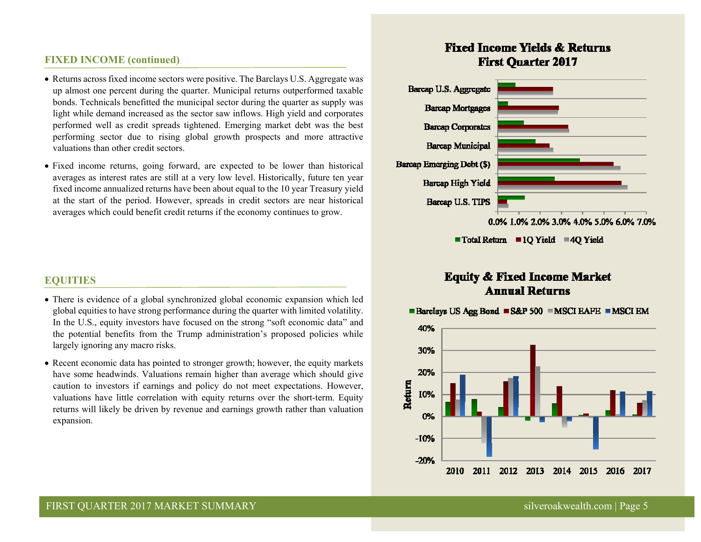#### **FIXED INCOME (continued)**

- Returns across fixed income sectors were positive. The Barclays U.S. Aggregate was up almost one percent during the quarter. Municipal returns outperformed taxable bonds. Technicals benefitted the municipal sector during the quarter as supply was light while demand increased as the sector saw inflows. High yield and corporates performed well as credit spreads tightened. Emerging market debt was the best performing sector due to rising global growth prospects and more attractive valuations than other credit sectors.
- Fixed income returns, going forward, are expected to be lower than historical averages as interest rates are still at a very low level. Historically, future ten year fixed income annualized returns have been about equal to the 10 year Treasury yield at the start of the period. However, spreads in credit sectors are near historical averages which could benefit credit returns if the economy continues to grow.

#### **EQUITIES**

- There is evidence of a global synchronized global economic expansion which led global equities to have strong performance during the quarter with limited volatility. In the U.S., equity investors have focused on the strong "soft economic data" and the potential benefits from the Trump administration's proposed policies while largely ignoring any macro risks.
- Recent economic data has pointed to stronger growth; however, the equity markets have some headwinds. Valuations remain higher than average which should give caution to investors if earnings and policy do not meet expectations. However, valuations have little correlation with equity returns over the short-term. Equity returns will likely be driven by revenue and earnings growth rather than valuation expansion.

#### **Fixed Income Yields & Returns First Ouarter 2017**



■ Total Return ■ 1Q Yield ■ 4Q Yield

#### **Equity & Fixed Income Market Annual Returns**

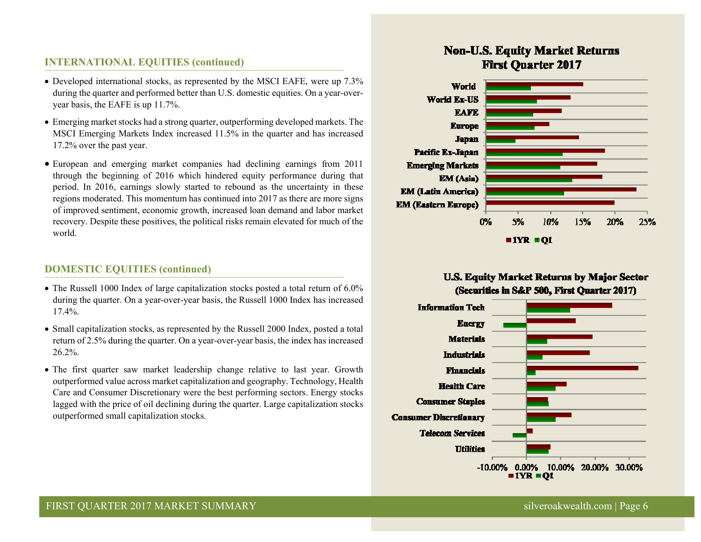#### **INTERNATIONAL EQUITIES (continued)**

- Developed international stocks, as represented by the MSCI EAFE, were up 7.3% during the quarter and performed better than U.S. domestic equities. On a year-overyear basis, the EAFE is up 11.7%.
- Emerging market stocks had a strong quarter, outperforming developed markets. The MSCI Emerging Markets Index increased 11.5% in the quarter and has increased 17.2% over the past year.
- European and emerging market companies had declining earnings from 2011 through the beginning of 2016 which hindered equity performance during that period. In 2016, earnings slowly started to rebound as the uncertainty in these regions moderated. This momentum has continued into 2017 as there are more signs of improved sentiment, economic growth, increased loan demand and labor market recovery. Despite these positives, the political risks remain elevated for much of the world.

#### **DOMESTIC EQUITIES (continued)**

- The Russell 1000 Index of large capitalization stocks posted a total return of 6.0% during the quarter. On a year-over-year basis, the Russell 1000 Index has increased 17.4%.
- Small capitalization stocks, as represented by the Russell 2000 Index, posted a total return of 2.5% during the quarter. On a year-over-year basis, the index has increased 26.2%.
- The first quarter saw market leadership change relative to last year. Growth outperformed value across market capitalization and geography. Technology, Health Care and Consumer Discretionary were the best performing sectors. Energy stocks lagged with the price of oil declining during the quarter. Large capitalization stocks outperformed small capitalization stocks.

#### **Non-U.S. Equity Market Returns First Quarter 2017**



#### **U.S. Equity Market Returns by Major Sector** (Securities in S&P 500, First Quarter 2017)